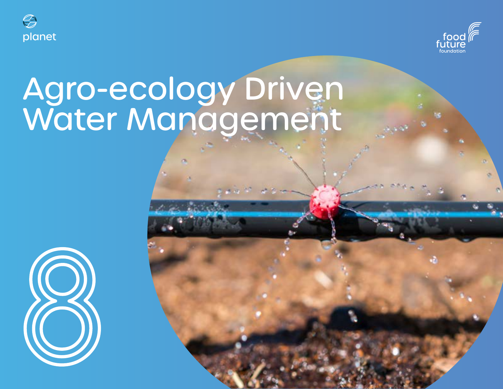



# Agro-ecology Driven Water Management

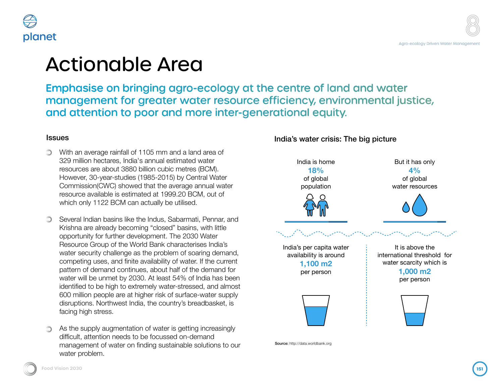### able Area

In bringing agro-ecology at the centre of land and water It for greater water resource efficiency, environmental justice, h to poor and more inter-generational equity.

ainfall of 1105 mm and a land area of es, India's annual estimated water out 3880 billion cubic metres (BCM). -studies (1985-2015) by Central Water  $\mathcal{C}$ ) showed that the average annual water is estimated at 1999.20 BCM, out of BCM can actually be utilised.

sins like the Indus, Sabarmati, Pennar, and ly becoming "closed" basins, with little ther development. The 2030 Water of the World Bank characterises India's allenge as the problem of soaring demand, and finite availability of water. If the current d continues, about half of the demand for et by 2030. At least 54% of India has been ah to extremely water-stressed, and almost  $\frac{1}{2}$  are at higher risk of surface-water supply west India, the country's breadbasket, is

mentation of water is getting increasingly needs to be focussed on-demand vater on finding sustainable solutions to our India's water crisis: The big picture



Source: http://data.worldbank.org

planet

facing high stress.

water problem.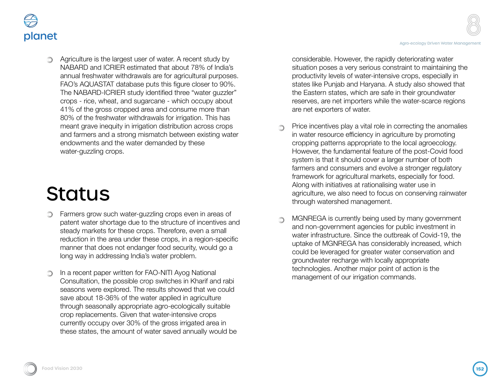



**Example 2** Agriculture is the largest user of water. A recent study by NABARD and ICRIER estimated that about 78% of India's annual freshwater withdrawals are for agricultural purposes. FAO's AQUASTAT database puts this figure closer to 90%. The NABARD-ICRIER study identified three "water guzzler" crops - rice, wheat, and sugarcane - which occupy about 41% of the gross cropped area and consume more than 80% of the freshwater withdrawals for irrigation. This has meant grave inequity in irrigation distribution across crops and farmers and a strong mismatch between existing water endowments and the water demanded by these water-guzzling crops.

# **Status**

- Farmers grow such water-guzzling crops even in areas of patent water shortage due to the structure of incentives and steady markets for these crops. Therefore, even a small reduction in the area under these crops, in a region-specific manner that does not endanger food security, would go a long way in addressing India's water problem.
- In a recent paper written for FAO-NITI Ayog National Consultation, the possible crop switches in Kharif and rabi seasons were explored. The results showed that we could save about 18-36% of the water applied in agriculture through seasonally appropriate agro-ecologically suitable crop replacements. Given that water-intensive crops currently occupy over 30% of the gross irrigated area in these states, the amount of water saved annually would be

considerable. However, the rapidly deteriorating water situation poses a very serious constraint to maintaining the productivity levels of water-intensive crops, especially in states like Punjab and Haryana. A study also showed that the Eastern states, which are safe in their groundwater reserves, are net importers while the water-scarce regions are net exporters of water.

- Price incentives play a vital role in correcting the anomalies in water resource efficiency in agriculture by promoting cropping patterns appropriate to the local agroecology. However, the fundamental feature of the post-Covid food system is that it should cover a larger number of both farmers and consumers and evolve a stronger regulatory framework for agricultural markets, especially for food. Along with initiatives at rationalising water use in agriculture, we also need to focus on conserving rainwater through watershed management.
- MGNREGA is currently being used by many government and non-government agencies for public investment in water infrastructure. Since the outbreak of Covid-19, the uptake of MGNREGA has considerably increased, which could be leveraged for greater water conservation and groundwater recharge with locally appropriate technologies. Another major point of action is the management of our irrigation commands.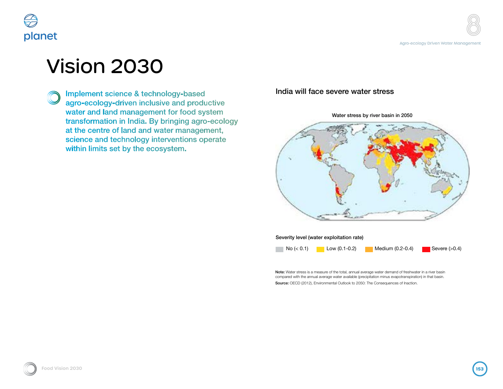

## Vision 2030

Implement science & technology-based agro-ecology-driven inclusive and productive water and land management for food system transformation in India. By bringing agro-ecology at the centre of land and water management, science and technology interventions operate within limits set by the ecosystem.

India will face severe water stress

Water stress by river basin in 2050



Severity level (water exploitation rate)

 $N$ o (< 0.1) Low (0.1-0.2) Medium (0.2-0.4) Severe (>0.4)

Note: Water stress is a measure of the total, annual average water demand of freshwater in a river basin compared with the annual average water available (precipitation minus evapotranspiration) in that basin. Source: OECD (2012), Environmental Outlook to 2050: The Consequences of Inaction.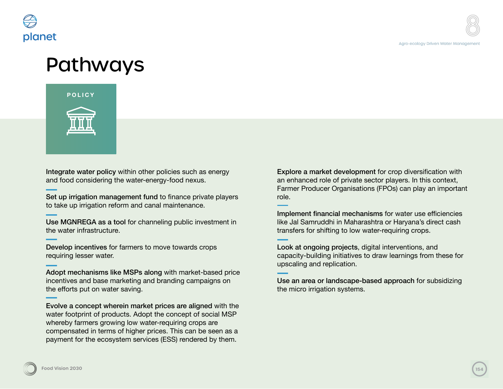

### Pathways



Integrate water policy within other policies such as energy and food considering the water-energy-food nexus.

Set up irrigation management fund to finance private players to take up irrigation reform and canal maintenance.

Use MGNREGA as a tool for channeling public investment in the water infrastructure.

Develop incentives for farmers to move towards crops requiring lesser water.

Adopt mechanisms like MSPs along with market-based price incentives and base marketing and branding campaigns on the efforts put on water saving.

Evolve a concept wherein market prices are aligned with the water footprint of products. Adopt the concept of social MSP whereby farmers growing low water-requiring crops are compensated in terms of higher prices. This can be seen as a payment for the ecosystem services (ESS) rendered by them.

Explore a market development for crop diversification with an enhanced role of private sector players. In this context, Farmer Producer Organisations (FPOs) can play an important role.

Implement financial mechanisms for water use efficiencies like Jal Samruddhi in Maharashtra or Haryana's direct cash transfers for shifting to low water-requiring crops.

Look at ongoing projects, digital interventions, and capacity-building initiatives to draw learnings from these for upscaling and replication.

Use an area or landscape-based approach for subsidizing the micro irrigation systems.

**Food Vision 2030 154 Food Vision 20304**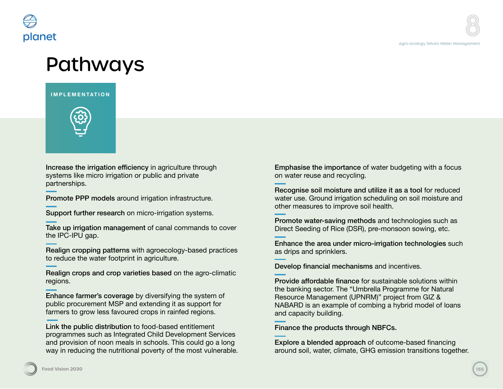

### **Pathways**

#### **IMPLEMENTATION**



Increase the irrigation efficiency in agriculture through systems like micro irrigation or public and private partnerships.

Promote PPP models around irrigation infrastructure.

Support further research on micro-irrigation systems.

Take up irrigation management of canal commands to cover the IPC-IPU gap.

Realign cropping patterns with agroecology-based practices to reduce the water footprint in agriculture.

Realign crops and crop varieties based on the agro-climatic regions.

Enhance farmer's coverage by diversifying the system of public procurement MSP and extending it as support for farmers to grow less favoured crops in rainfed regions.

Link the public distribution to food-based entitlement programmes such as Integrated Child Development Services and provision of noon meals in schools. This could go a long way in reducing the nutritional poverty of the most vulnerable.

Emphasise the importance of water budgeting with a focus on water reuse and recycling.

Recognise soil moisture and utilize it as a tool for reduced water use. Ground irrigation scheduling on soil moisture and other measures to improve soil health.

Promote water-saving methods and technologies such as Direct Seeding of Rice (DSR), pre-monsoon sowing, etc.

Enhance the area under micro-irrigation technologies such as drips and sprinklers.

Develop financial mechanisms and incentives.

Provide affordable finance for sustainable solutions within the banking sector. The "Umbrella Programme for Natural Resource Management (UPNRM)" project from GIZ & NABARD is an example of combing a hybrid model of loans and capacity building.

Finance the products through NBFCs.

Explore a blended approach of outcome-based financing around soil, water, climate, GHG emission transitions together.